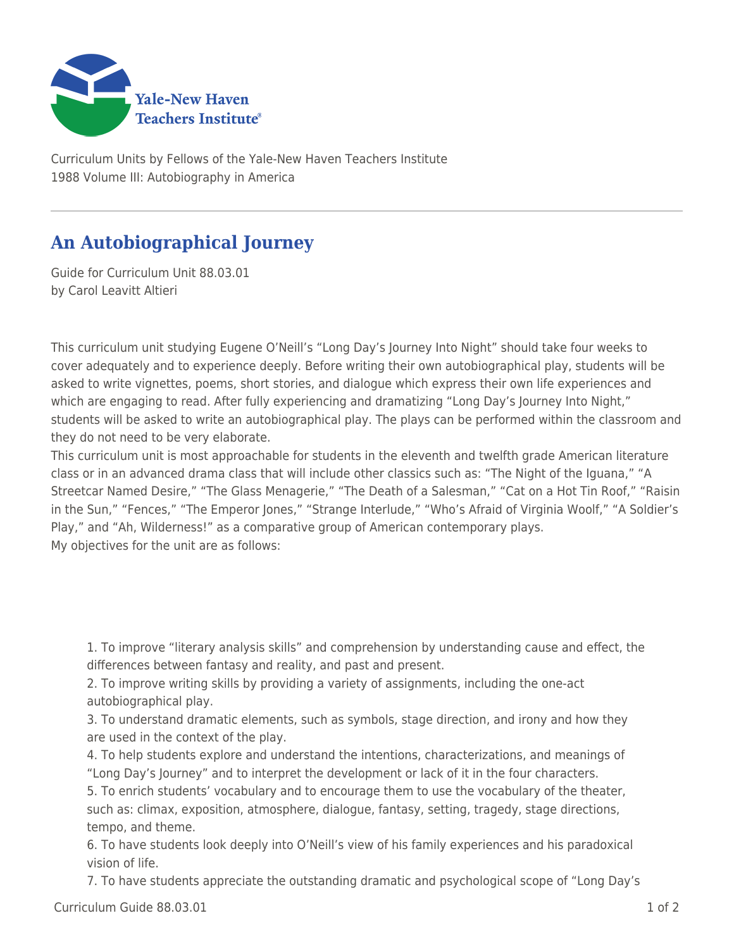

Curriculum Units by Fellows of the Yale-New Haven Teachers Institute 1988 Volume III: Autobiography in America

## **An Autobiographical Journey**

Guide for Curriculum Unit 88.03.01 by Carol Leavitt Altieri

This curriculum unit studying Eugene O'Neill's "Long Day's Journey Into Night" should take four weeks to cover adequately and to experience deeply. Before writing their own autobiographical play, students will be asked to write vignettes, poems, short stories, and dialogue which express their own life experiences and which are engaging to read. After fully experiencing and dramatizing "Long Day's Journey Into Night," students will be asked to write an autobiographical play. The plays can be performed within the classroom and they do not need to be very elaborate.

This curriculum unit is most approachable for students in the eleventh and twelfth grade American literature class or in an advanced drama class that will include other classics such as: "The Night of the Iguana," "A Streetcar Named Desire," "The Glass Menagerie," "The Death of a Salesman," "Cat on a Hot Tin Roof," "Raisin in the Sun," "Fences," "The Emperor Jones," "Strange Interlude," "Who's Afraid of Virginia Woolf," "A Soldier's Play," and "Ah, Wilderness!" as a comparative group of American contemporary plays. My objectives for the unit are as follows:

1. To improve "literary analysis skills" and comprehension by understanding cause and effect, the differences between fantasy and reality, and past and present.

2. To improve writing skills by providing a variety of assignments, including the one-act autobiographical play.

3. To understand dramatic elements, such as symbols, stage direction, and irony and how they are used in the context of the play.

4. To help students explore and understand the intentions, characterizations, and meanings of "Long Day's Journey" and to interpret the development or lack of it in the four characters.

5. To enrich students' vocabulary and to encourage them to use the vocabulary of the theater, such as: climax, exposition, atmosphere, dialogue, fantasy, setting, tragedy, stage directions, tempo, and theme.

6. To have students look deeply into O'Neill's view of his family experiences and his paradoxical vision of life.

7. To have students appreciate the outstanding dramatic and psychological scope of "Long Day's